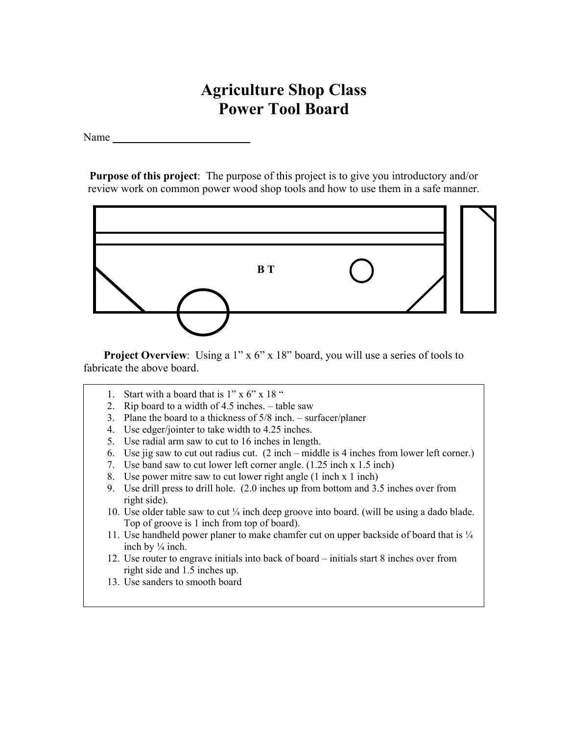## **Agriculture Shop Class Power Tool Board**

Name

**Purpose of this project**: The purpose of this project is to give you introductory and/or review work on common power wood shop tools and how to use them in a safe manner.



**Project Overview**: Using a 1" x 6" x 18" board, you will use a series of tools to fabricate the above board.

1. Start with a board that is  $1" \times 6" \times 18"$ 

 $\overline{a}$ 

- 2. Rip board to a width of 4.5 inches. table saw
- 3. Plane the board to a thickness of 5/8 inch. surfacer/planer
- 4. Use edger/jointer to take width to 4.25 inches.
- 5. Use radial arm saw to cut to 16 inches in length.
- 6. Use jig saw to cut out radius cut. (2 inch middle is 4 inches from lower left corner.)
- 7. Use band saw to cut lower left corner angle. (1.25 inch x 1.5 inch)
- 8. Use power mitre saw to cut lower right angle (1 inch x 1 inch)
- 9. Use drill press to drill hole. (2.0 inches up from bottom and 3.5 inches over from right side).
- 10. Use older table saw to cut ¼ inch deep groove into board. (will be using a dado blade. Top of groove is 1 inch from top of board).
- 11. Use handheld power planer to make chamfer cut on upper backside of board that is  $\frac{1}{4}$ inch by ¼ inch.
- 12. Use router to engrave initials into back of board initials start 8 inches over from right side and 1.5 inches up.
- 13. Use sanders to smooth board